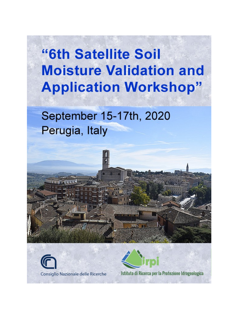# "6th Satellite Soil **Moisture Validation and Application Workshop"**

# September 15-17th, 2020 Perugia, Italy

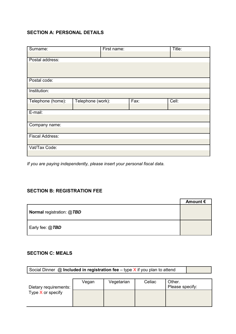## **SECTION A: PERSONAL DETAILS**

| Surname:               |                   | Title:<br>First name: |      |       |
|------------------------|-------------------|-----------------------|------|-------|
|                        |                   |                       |      |       |
| Postal address:        |                   |                       |      |       |
|                        |                   |                       |      |       |
|                        |                   |                       |      |       |
| Postal code:           |                   |                       |      |       |
|                        |                   |                       |      |       |
| Institution:           |                   |                       |      |       |
|                        |                   |                       |      |       |
| Telephone (home):      | Telephone (work): |                       | Fax: | Cell: |
|                        |                   |                       |      |       |
| E-mail:                |                   |                       |      |       |
|                        |                   |                       |      |       |
| Company name:          |                   |                       |      |       |
|                        |                   |                       |      |       |
| <b>Fiscal Address:</b> |                   |                       |      |       |
|                        |                   |                       |      |       |
| Vat/Tax Code:          |                   |                       |      |       |
|                        |                   |                       |      |       |

*If you are paying independently, please insert your personal fiscal data.*

#### **SECTION B: REGISTRATION FEE**

|                                  | Amount $\epsilon$ |
|----------------------------------|-------------------|
| <b>Normal registration: @TBD</b> |                   |
| Early fee: @ <i>TBD</i>          |                   |

### **SECTION C: MEALS**

|                       | Social Dinner $\omega$ Included in registration fee – type X if you plan to attend |            |        |                           |  |
|-----------------------|------------------------------------------------------------------------------------|------------|--------|---------------------------|--|
|                       |                                                                                    |            |        |                           |  |
| Dietary requirements: | Vegan                                                                              | Vegetarian | Celiac | Other.<br>Please specify: |  |
| Type $X$ or specify   |                                                                                    |            |        |                           |  |